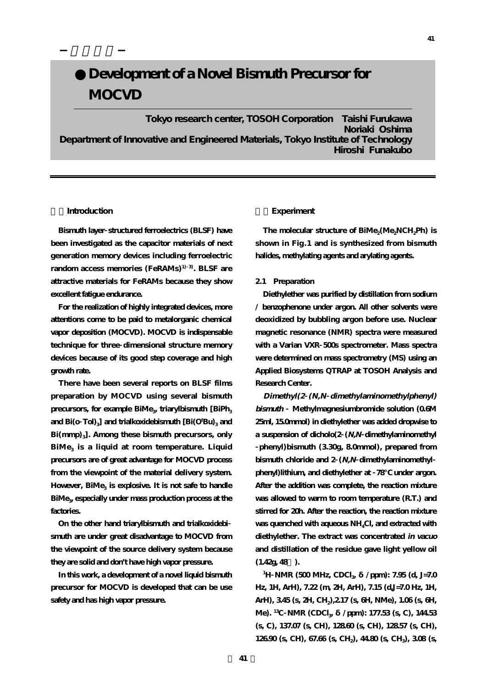# Development of a Novel Bismuth Precursor for **MOCVD**

**Tokyo research center, TOSOH Corporation Taishi Furukawa Noriaki Oshima Department of Innovative and Engineered Materials, Tokyo Institute of Technology Hiroshi Funakubo**

## **1.Introduction**

**Bismuth layer structured ferroelectrics (BLSF) have been investigated as the capacitor materials of next generation memory devices including ferroelectric random access memories (FeRAMs)1) 3). BLSF are attractive materials for FeRAMs because they show excellent fatigue endurance.**

**For the realization of highly integrated devices, more attentions come to be paid to metalorganic chemical vapor deposition (MOCVD). MOCVD is indispensable technique for three dimensional structure memory devices because of its good step coverage and high growth rate.**

**There have been several reports on BLSF films preparation by MOCVD using several bismuth** precursors, for example BiMe<sub>3</sub> triarylbismuth [BiPh<sub>3</sub> and Bi(o  $\text{Tol}|_3$ ] and trialkoxidebismuth  $[\text{Bi}(\text{O}^\text{t}\text{Bu})_3$  and Bi(mmp)<sub>3</sub>]. Among these bismuth precursors, only **BiMe3 is a liquid at room temperature. Liquid precursors are of great advantage for MOCVD process from the viewpoint of the material delivery system.** However, BiMe<sub>3</sub> is explosive. It is not safe to handle **BiMe<sub>3</sub>** especially under mass production process at the **factories.**

**On the other hand triarylbismuth and trialkoxidebi smuth are under great disadvantage to MOCVD from the viewpoint of the source delivery system because they are solid and don't have high vapor pressure.**

**In this work, a development of a novel liquid bismuth precursor for MOCVD is developed that can be use safety and has high vapor pressure.**

## **2.Experiment**

The molecular structure of BiMe<sub>2</sub>(Me<sub>2</sub>NCH<sub>2</sub>Ph) is **shown in Fig.1 and is synthesized from bismuth halides, methylating agents and arylating agents.** 

## **2.1 Preparation**

**Diethylether was purified by distillation from sodium / benzophenone under argon. All other solvents were deoxidized by bubbling argon before use. Nuclear magnetic resonance (NMR) spectra were measured with a Varian VXR 500s spectrometer. Mass spectra were determined on mass spectrometry (MS) using an Applied Biosystems QTRAP at TOSOH Analysis and Research Center.**

**Dimethyl(2 (N,N dimethylaminomethylphenyl) bismuth Methylmagnesiumbromide solution (0.6M 25ml, 15.0mmol) in diethylether was added dropwise to a suspension of dicholo(2 (N,N dimethylaminomethyl phenyl)bismuth (3.30g, 8.0mmol), prepared from bismuth chloride and 2 (N,N dimethylaminomethyl phenyl)lithium, and diethylether at 78℃ under argon. After the addition was complete, the reaction mixture was allowed to warm to room temperature (R.T.) and stirred for 20h. After the reaction, the reaction mixture was quenched with aqueous NH4Cl, and extracted with diethylether. The extract was concentrated in vacuo and distillation of the residue gave light yellow oil**  $(1.42g, 48)$ .

**1H NMR** (500 **MHz, CDCl**<sub>3</sub> /ppm): 7.95 (d, J=7.0 **Hz, 1H, ArH), 7.22 (m, 2H, ArH), 7.15 (d,J=7.0 Hz, 1H, ArH), 3.45 (s, 2H, CH2),2.17 (s, 6H, NMe), 1.06 (s, 6H, Me).** <sup>13</sup>C **NMR** (CDCl<sub>3</sub> /ppm): 177.53 (s, C), 144.53 **(s, C), 137.07 (s, CH), 128.60 (s, CH), 128.57 (s, CH), 126.90 (s, CH), 67.66 (s, CH2), 44.80 (s, CH3), 3.08 (s,**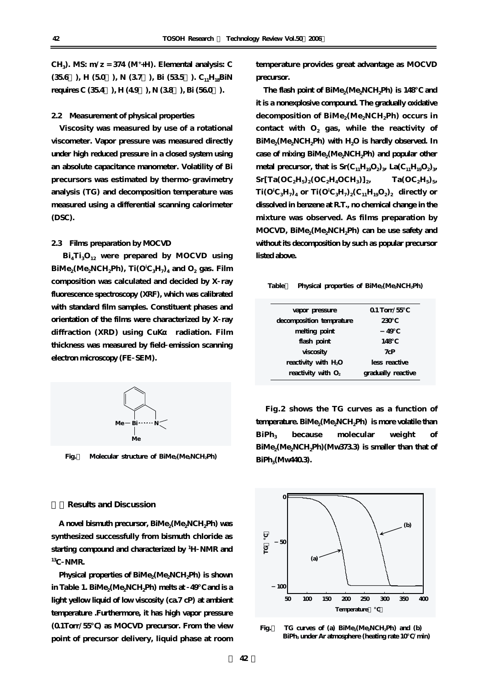**CH3). MS: m/z = 374 (M+ +H). Elemental analysis: C**  $(356)$ , H $(50)$ , N $(37)$ , Bi $(535)$ . C<sub>11</sub>H<sub>18</sub>BiN **requires C (35.4** ), H (4.9 ), N (3.8 ), Bi (56.0 ).

### **2.2 Measurement of physical properties**

**Viscosity was measured by use of a rotational viscometer. Vapor pressure was measured directly under high reduced pressure in a closed system using an absolute capacitance manometer. Volatility of Bi precursors was estimated by thermo gravimetry analysis (TG) and decomposition temperature was measured using a differential scanning calorimeter (DSC).**

## **2.3 Films preparation by MOCVD**

**Bi4Ti3O12 were prepared by MOCVD using**  $\text{BiMe}_{2}(\text{Me}_{2}\text{NCH}_{2}\text{Ph})$ ,  $\text{Ti}(\text{O}^{\text{i}}\text{C}_{3}\text{H}_{7})_{4}$  and  $\text{O}_{2}$  gas. Film **composition was calculated and decided by X ray fluorescence spectroscopy (XRF), which was calibrated with standard film samples. Constituent phases and orientation of the films were characterized by X ray** diffraction (XRD) using CuK radiation. Film **thickness was measured by field emission scanning electron microscopy (FE SEM).**



Fig. Molecular structure of BiMe<sub>2</sub>(Me<sub>2</sub>NCH<sub>2</sub>Ph)

#### **3.Results and Discussion**

A novel bismuth precursor, BiMe<sub>2</sub>(Me<sub>2</sub>NCH<sub>2</sub>Ph) was **synthesized successfully from bismuth chloride as starting compound and characterized by <sup>1</sup> H NMR and 13C NMR.** 

Physical properties of BiMe<sub>2</sub>(Me<sub>2</sub>NCH<sub>2</sub>Ph) is shown in Table 1. BiMe<sub>2</sub>(Me<sub>2</sub>NCH<sub>2</sub>Ph) melts at 49 and is a **light yellow liquid of low viscosity (ca.7 cP) at ambient temperature .Furthermore, it has high vapor pressure (0.1Torr/55℃) as MOCVD precursor. From the view point of precursor delivery, liquid phase at room**

**temperature provides great advantage as MOCVD precursor.**

The flash point of BiMe<sub>2</sub>(Me<sub>2</sub>NCH<sub>2</sub>Ph) is 148∞ and **it is a nonexplosive compound. The gradually oxidative** decomposition of BiMe<sub>2</sub>(Me<sub>2</sub>NCH<sub>2</sub>Ph) occurs in contact with  $O_2$  gas, while the reactivity of BiMe<sub>2</sub>(Me<sub>2</sub>NCH<sub>2</sub>Ph) with H<sub>2</sub>O is hardly observed. In case of mixing BiMe<sub>2</sub>(Me<sub>2</sub>NCH<sub>2</sub>Ph) and popular other **metal precursor, that is**  $Sr(C_{11}H_{19}O_2)$ **, La(C<sub>11</sub>H<sub>19</sub>O<sub>2</sub>)<sub>3</sub>,**  $Sr[Ta(OC<sub>2</sub>H<sub>5</sub>)<sub>2</sub>(OC<sub>2</sub>H<sub>4</sub>OCH<sub>3</sub>)]<sub>2</sub>$   $Ta(OC<sub>2</sub>H<sub>5</sub>)<sub>5</sub>$  $\text{Ti}(\text{O}^{\text{i}}\text{C}_{3}\text{H}_{7})_{4}$  or  $\text{Ti}(\text{O}^{\text{i}}\text{C}_{3}\text{H}_{7})_{2}(\text{C}_{11}\text{H}_{19}\text{O}_{2})_{2}$  directly or **dissolved in benzene at R.T., no chemical change in the mixture was observed. As films preparation by** MOCVD, BiMe<sub>2</sub>(Me<sub>2</sub>NCH<sub>2</sub>Ph) can be use safety and **without its decomposition by such as popular precursor listed above.**

#### Table Physical properties of BiMe<sub>2</sub>(Me<sub>2</sub>NCH<sub>2</sub>Ph)

| vapor pressure                   | $01$ Torr/55       |
|----------------------------------|--------------------|
| decomposition temprature         | 230                |
| melting point                    | 49                 |
| flash point                      | 148                |
| viscosity                        | 7cP                |
| reactivity with H <sub>2</sub> O | less reactive      |
| reactivity with $O_2$            | gradually reactive |

**Fig.2 shows the TG curves as a function of** temperature. BiMe<sub>2</sub>(Me<sub>2</sub>NCH<sub>2</sub>Ph) is more volatile than BiPh<sub>3</sub> because molecular weight of BiMe<sub>2</sub>(Me<sub>2</sub>NCH<sub>2</sub>Ph)(Mw373.3) is smaller than that of BiPh<sub>3</sub>(Mw440.3).



Fig. TG curves of (a) BiMe<sub>2</sub>(Me<sub>2</sub>NCH<sub>2</sub>Ph) and (b)  **BiPh<sub>3</sub> under Ar atmosphere (heating rate 10 /min)**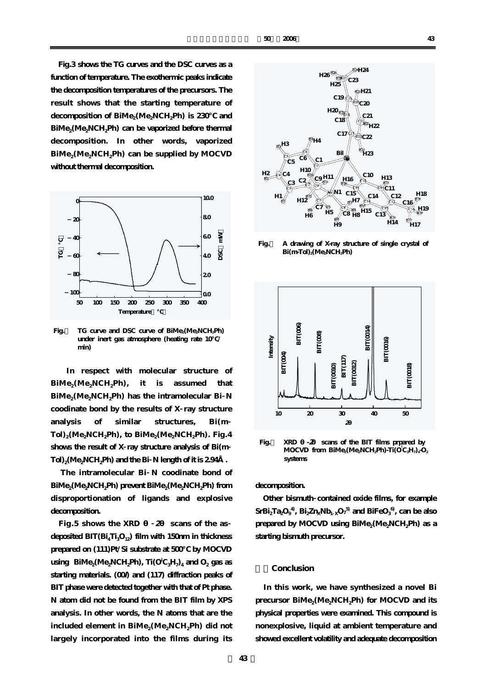**Fig.3 shows the TG curves and the DSC curves as a function of temperature. The exothermic peaks indicate the decomposition temperatures of the precursors. The result shows that the starting temperature of** decomposition of BiMe<sub>2</sub>(Me<sub>2</sub>NCH<sub>2</sub>Ph) is 230 and BiMe<sub>2</sub>(Me<sub>2</sub>NCH<sub>2</sub>Ph) can be vaporized before thermal **decomposition. In other words, vaporized** BiMe<sub>2</sub>(Me<sub>2</sub>NCH<sub>2</sub>Ph) can be supplied by MOCVD **without thermal decomposition.**



Fig. TG curve and DSC curve of BiMe<sub>2</sub>(Me<sub>2</sub>NCH<sub>2</sub>Ph)  **under inert gas atmosphere (heating rate 10℃/** *<u>min</u>* 

**In respect with molecular structure of** BiMe<sub>2</sub>(Me<sub>2</sub>NCH<sub>2</sub>Ph), it is assumed that **BiMe2(Me2NCH2Ph) has the intramolecular Bi N coodinate bond by the results of X ray structure analysis of similar structures, Bi(m** Tol)<sub>2</sub>(Me<sub>2</sub>NCH<sub>2</sub>Ph), to BiMe<sub>2</sub>(Me<sub>2</sub>NCH<sub>2</sub>Ph). Fig. 4 **shows the result of X ray structure analysis of Bi(m**  $Tol)_2$ (Me<sub>2</sub>NCH<sub>2</sub>Ph) and the Bi N length of it is 2.94  $\ldots$ 

**The intramolecular Bi N coodinate bond of BiMe2(Me2NCH2Ph) prevent BiMe2(Me2NCH2Ph) from disproportionation of ligands and explosive decomposition.** 

**Fig.5** shows the XRD  $2 \text{ scans of the as}$ **deposited BIT(Bi4Ti3O12) film with 150nm in thickness prepared on (111)Pt/Si substrate at 500℃ by MOCVD**  $\text{using } \text{BiMe}_{2}(\text{Me}_{2}\text{NCH}_{2}\text{Ph})$ ,  $\text{Ti}(\text{O}^{\text{i}}\text{C}_{3}\text{H}_{7})_{4}$  and  $\text{O}_{2}$  gas as **starting materials. (00l) and (117) diffraction peaks of BIT phase were detected together with that of Pt phase. N atom did not be found from the BIT film by XPS analysis. In other words, the N atoms that are the** included element in BiMe<sub>2</sub>(Me<sub>2</sub>NCH<sub>2</sub>Ph) did not **largely incorporated into the films during its**



**Fig.4 A drawing of X-ray structure of single crystal of**  $\operatorname{Bi(mTol)}_{2}(\text{Me}_2\text{NCH}_2\text{Ph})$ 



**Fig.**  $XRD$   $-2$  scans of the BIT films prpared by  **MOCVD** from BiMe<sub>2</sub>(Me<sub>2</sub>NCH<sub>2</sub>Ph)-Ti( $\vec{O}$ <sub>C<sub>3</sub>H<sub>7</sub>)<sub>4</sub> $\vec{O}$ <sub>2</sub></sub>  **systems**

## **decomposition.**

**Other bismuth contained oxide films, for example**  $\mathrm{SrBi}_{2}\mathrm{Ta}_{2}\mathrm{O}_{9}^{-4}$ ,  $\mathrm{Bi}_{2}\mathrm{Zn}_{\mathrm{X}}\mathrm{Nb}_{1}$   $_{\mathrm{X}}\mathrm{O}_{7}^{-5}$  and  $\mathrm{BiFeO}_{3}^{-6}$ , can be also prepared by MOCVD using BiMe<sub>2</sub>(Me<sub>2</sub>NCH<sub>2</sub>Ph) as a **starting bismuth precursor.**

## **4.Conclusion**

**In this work, we have synthesized a novel Bi** precursor BiMe<sub>2</sub>(Me<sub>2</sub>NCH<sub>2</sub>Ph) for MOCVD and its **physical properties were examined. This compound is nonexplosive, liquid at ambient temperature and showed excellent volatility and adequate decomposition**